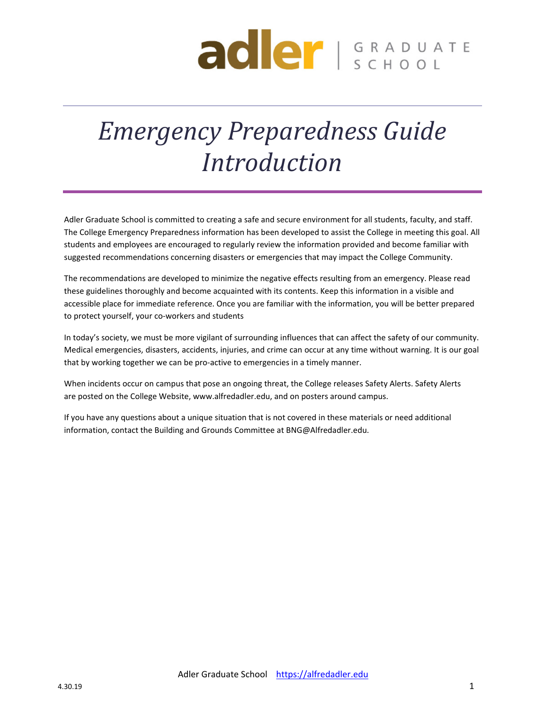# **ader** SCHOOL

# *Emergency Preparedness Guide Introduction*

Adler Graduate School is committed to creating a safe and secure environment for all students, faculty, and staff. The College Emergency Preparedness information has been developed to assist the College in meeting this goal. All students and employees are encouraged to regularly review the information provided and become familiar with suggested recommendations concerning disasters or emergencies that may impact the College Community.

The recommendations are developed to minimize the negative effects resulting from an emergency. Please read these guidelines thoroughly and become acquainted with its contents. Keep this information in a visible and accessible place for immediate reference. Once you are familiar with the information, you will be better prepared to protect yourself, your co‐workers and students

In today's society, we must be more vigilant of surrounding influences that can affect the safety of our community. Medical emergencies, disasters, accidents, injuries, and crime can occur at any time without warning. It is our goal that by working together we can be pro‐active to emergencies in a timely manner.

When incidents occur on campus that pose an ongoing threat, the College releases Safety Alerts. Safety Alerts are posted on the College Website, www.alfredadler.edu, and on posters around campus.

If you have any questions about a unique situation that is not covered in these materials or need additional information, contact the Building and Grounds Committee at BNG@Alfredadler.edu.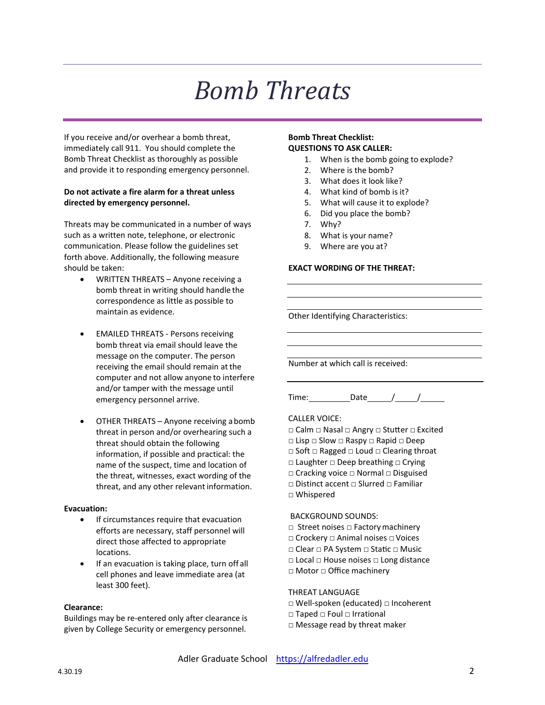# *Bomb Threats*

If you receive and/or overhear a bomb threat, immediately call 911. You should complete the Bomb Threat Checklist as thoroughly as possible and provide it to responding emergency personnel.

#### **Do not activate a fire alarm for a threat unless directed by emergency personnel.**

Threats may be communicated in a number of ways such as a written note, telephone, or electronic communication. Please follow the guidelines set forth above. Additionally, the following measure should be taken:

- WRITTEN THREATS Anyone receiving a bomb threat in writing should handle the correspondence as little as possible to maintain as evidence.
- EMAILED THREATS ‐ Persons receiving bomb threat via email should leave the message on the computer. The person receiving the email should remain at the computer and not allow anyone to interfere and/or tamper with the message until emergency personnel arrive.
- OTHER THREATS Anyone receiving abomb threat in person and/or overhearing such a threat should obtain the following information, if possible and practical: the name of the suspect, time and location of the threat, witnesses, exact wording of the threat, and any other relevant information.

#### **Evacuation:**

- **•** If circumstances require that evacuation efforts are necessary, staff personnel will direct those affected to appropriate locations.
- If an evacuation is taking place, turn off all cell phones and leave immediate area (at least 300 feet).

#### **Clearance:**

Buildings may be re‐entered only after clearance is given by College Security or emergency personnel.

#### **Bomb Threat Checklist: QUESTIONS TO ASK CALLER:**

- 1. When is the bomb going to explode?
- 2. Where is the bomb?
- 3. What does it look like?
- 4. What kind of bomb is it?
- 5. What will cause it to explode?
- 6. Did you place the bomb?
- 7. Why?
- 8. What is your name?
- 9. Where are you at?

#### **EXACT WORDING OF THE THREAT:**

Other Identifying Characteristics:

Number at which call is received:

Time: Date / /

#### CALLER VOICE:

- □ Calm □ Nasal □ Angry □ StuƩer □ Excited
- □ Lisp □ Slow □ Raspy □ Rapid □ Deep
- □ Soft □ Ragged □ Loud □ Clearing throat
- □ Laughter □ Deep breathing □ Crying
- □ Cracking voice □ Normal □ Disguised
- □ Distinct accent □ Slurred □ Familiar
- □ Whispered

#### BACKGROUND SOUNDS:

- □ Street noises □ Factory machinery
- □ Crockery □ Animal noises □ Voices
- □ Clear □ PA System □ Static □ Music
- □ Local □ House noises □ Long distance
- □ Motor □ Office machinery

#### THREAT LANGUAGE

- □ Well‐spoken (educated) □ Incoherent
- □ Taped □ Foul □ Irrational
- □ Message read by threat maker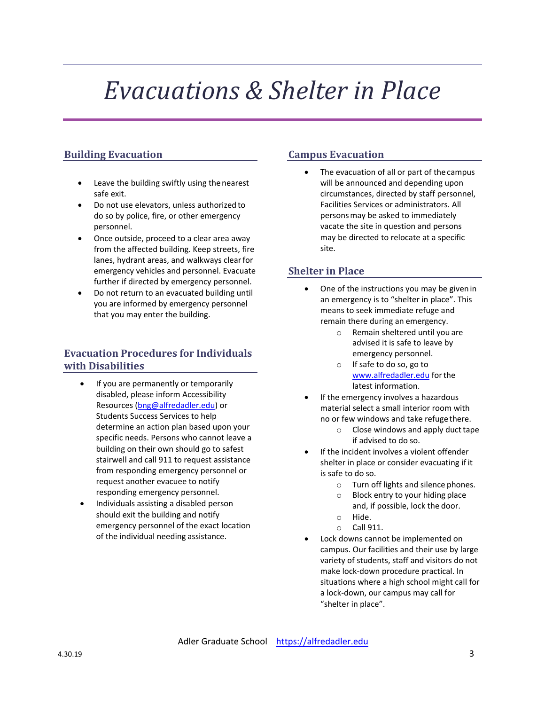# *Evacuations & Shelter in Place*

# **Building Evacuation**

- Leave the building swiftly using thenearest safe exit.
- Do not use elevators, unless authorized to do so by police, fire, or other emergency personnel.
- Once outside, proceed to a clear area away from the affected building. Keep streets, fire lanes, hydrant areas, and walkways clearfor emergency vehicles and personnel. Evacuate further if directed by emergency personnel.
- Do not return to an evacuated building until you are informed by emergency personnel that you may enter the building.

## **Evacuation Procedures for Individuals with Disabilities**

- If you are permanently or temporarily disabled, please inform Accessibility Resources (bng@alfredadler.edu) or Students Success Services to help determine an action plan based upon your specific needs. Persons who cannot leave a building on their own should go to safest stairwell and call 911 to request assistance from responding emergency personnel or request another evacuee to notify responding emergency personnel.
- Individuals assisting a disabled person should exit the building and notify emergency personnel of the exact location of the individual needing assistance.

# **Campus Evacuation**

 The evacuation of all or part of the campus will be announced and depending upon circumstances, directed by staff personnel, Facilities Services or administrators. All personsmay be asked to immediately vacate the site in question and persons may be directed to relocate at a specific site.

## **Shelter in Place**

- One of the instructions you may be givenin an emergency is to "shelter in place". This means to seek immediate refuge and remain there during an emergency.
	- o Remain sheltered until you are advised it is safe to leave by emergency personnel.
	- o If safe to do so, go to www.alfredadler.edu forthe latest information.
- If the emergency involves a hazardous material select a small interior room with no or few windows and take refugethere.
	- $\circ$  Close windows and apply duct tape if advised to do so.
	- If the incident involves a violent offender shelter in place or consider evacuating if it is safe to do so.
		- o Turn off lights and silence phones.
		- o Block entry to your hiding place and, if possible, lock the door.
		- o Hide.
		- o Call 911.
- Lock downs cannot be implemented on campus. Our facilities and their use by large variety of students, staff and visitors do not make lock‐down procedure practical. In situations where a high school might call for a lock‐down, our campus may call for "shelter in place".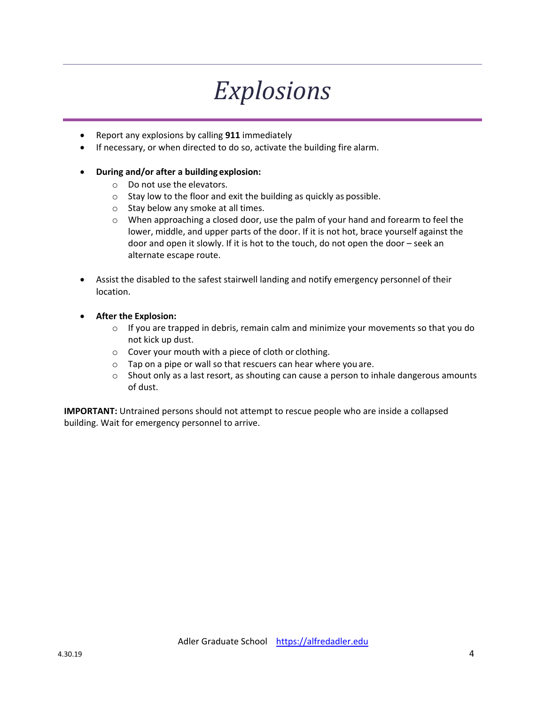# *Explosions*

- Report any explosions by calling **911** immediately
- If necessary, or when directed to do so, activate the building fire alarm.

### **During and/or after a building explosion:**

- o Do not use the elevators.
- o Stay low to the floor and exit the building as quickly as possible.
- o Stay below any smoke at all times.
- $\circ$  When approaching a closed door, use the palm of your hand and forearm to feel the lower, middle, and upper parts of the door. If it is not hot, brace yourself against the door and open it slowly. If it is hot to the touch, do not open the door – seek an alternate escape route.
- Assist the disabled to the safest stairwell landing and notify emergency personnel of their location.
- **After the Explosion:**
	- $\circ$  If you are trapped in debris, remain calm and minimize your movements so that you do not kick up dust.
	- o Cover your mouth with a piece of cloth or clothing.
	- o Tap on a pipe or wall so that rescuers can hear where youare.
	- $\circ$  Shout only as a last resort, as shouting can cause a person to inhale dangerous amounts of dust.

**IMPORTANT:** Untrained persons should not attempt to rescue people who are inside a collapsed building. Wait for emergency personnel to arrive.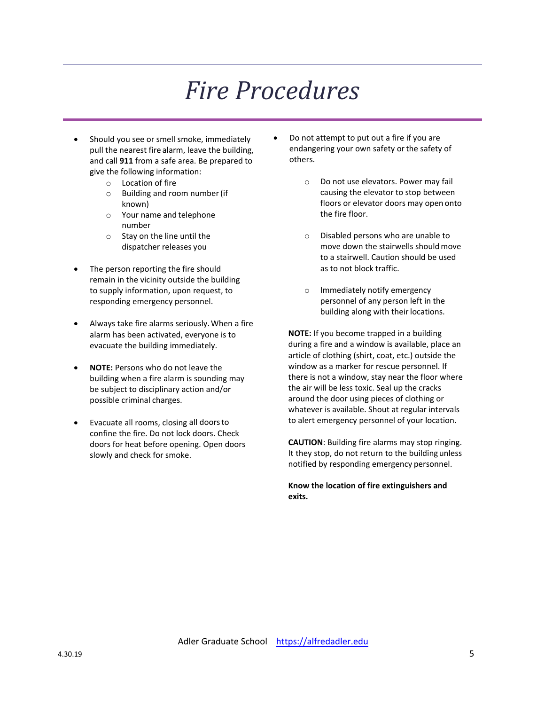# *Fire Procedures*

- Should you see or smell smoke, immediately pull the nearest fire alarm, leave the building, and call **911** from a safe area. Be prepared to give the following information:
	- o Location of fire
	- o Building and room number(if known)
	- o Your name and telephone number
	- o Stay on the line until the dispatcher releases you
- The person reporting the fire should remain in the vicinity outside the building to supply information, upon request, to responding emergency personnel.
- Always take fire alarms seriously.When a fire alarm has been activated, everyone is to evacuate the building immediately.
- **NOTE:** Persons who do not leave the building when a fire alarm is sounding may be subject to disciplinary action and/or possible criminal charges.
- Evacuate all rooms, closing all doorsto confine the fire. Do not lock doors. Check doors for heat before opening. Open doors slowly and check for smoke.
- Do not attempt to put out a fire if you are endangering your own safety or the safety of others.
	- o Do not use elevators. Power may fail causing the elevator to stop between floors or elevator doors may open onto the fire floor.
	- o Disabled persons who are unable to move down the stairwells shouldmove to a stairwell. Caution should be used as to not block traffic.
	- o Immediately notify emergency personnel of any person left in the building along with their locations.

**NOTE:** If you become trapped in a building during a fire and a window is available, place an article of clothing (shirt, coat, etc.) outside the window as a marker for rescue personnel. If there is not a window, stay near the floor where the air will be less toxic. Seal up the cracks around the door using pieces of clothing or whatever is available. Shout at regular intervals to alert emergency personnel of your location.

**CAUTION**: Building fire alarms may stop ringing. It they stop, do not return to the buildingunless notified by responding emergency personnel.

**Know the location of fire extinguishers and exits.**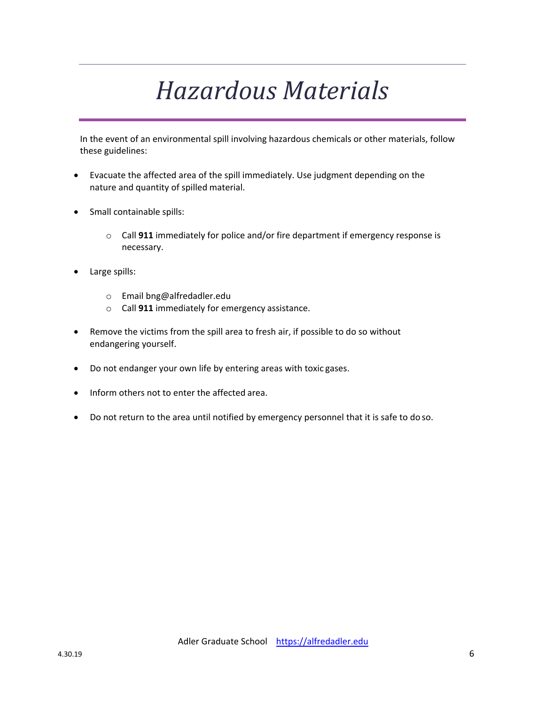# *Hazardous Materials*

In the event of an environmental spill involving hazardous chemicals or other materials, follow these guidelines:

- Evacuate the affected area of the spill immediately. Use judgment depending on the nature and quantity of spilled material.
- Small containable spills:
	- o Call **911** immediately for police and/or fire department if emergency response is necessary.
- Large spills:
	- o Email bng@alfredadler.edu
	- o Call **911** immediately for emergency assistance.
- Remove the victims from the spill area to fresh air, if possible to do so without endangering yourself.
- Do not endanger your own life by entering areas with toxic gases.
- Inform others not to enter the affected area.
- Do not return to the area until notified by emergency personnel that it is safe to do so.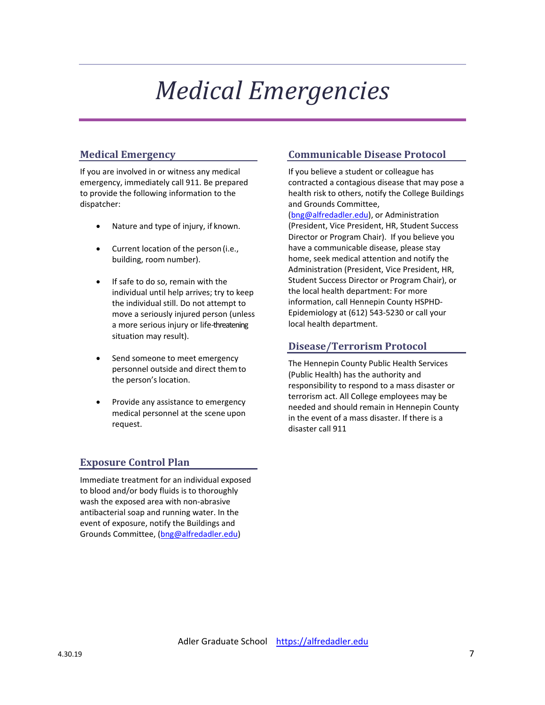# *Medical Emergencies*

# **Medical Emergency**

If you are involved in or witness any medical emergency, immediately call 911. Be prepared to provide the following information to the dispatcher:

- Nature and type of injury, if known.
- Current location of the person (i.e., building, room number).
- If safe to do so, remain with the individual until help arrives; try to keep the individual still. Do not attempt to move a seriously injured person (unless a more serious injury or life-threatening situation may result).
- Send someone to meet emergency personnel outside and direct themto the person's location.
- Provide any assistance to emergency medical personnel at the scene upon request.

### **Communicable Disease Protocol**

If you believe a student or colleague has contracted a contagious disease that may pose a health risk to others, notify the College Buildings and Grounds Committee,

(bng@alfredadler.edu), or Administration (President, Vice President, HR, Student Success Director or Program Chair). If you believe you have a communicable disease, please stay home, seek medical attention and notify the Administration (President, Vice President, HR, Student Success Director or Program Chair), or the local health department: For more information, call Hennepin County HSPHD‐ Epidemiology at (612) 543‐5230 or call your local health department.

### **Disease/Terrorism Protocol**

The Hennepin County Public Health Services (Public Health) has the authority and responsibility to respond to a mass disaster or terrorism act. All College employees may be needed and should remain in Hennepin County in the event of a mass disaster. If there is a disaster call 911

## **Exposure Control Plan**

Immediate treatment for an individual exposed to blood and/or body fluids is to thoroughly wash the exposed area with non‐abrasive antibacterial soap and running water. In the event of exposure, notify the Buildings and Grounds Committee, (bng@alfredadler.edu)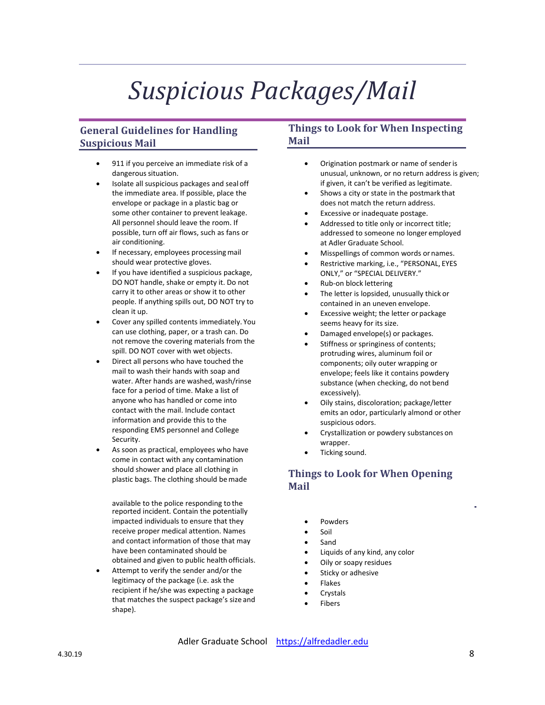# *Suspicious Packages/Mail*

# **General Guidelines for Handling Suspicious Mail**

- 911 if you perceive an immediate risk of a dangerous situation.
- Isolate all suspicious packages and seal off the immediate area. If possible, place the envelope or package in a plastic bag or some other container to prevent leakage. All personnel should leave the room. If possible, turn off air flows, such as fans or air conditioning.
- If necessary, employees processing mail should wear protective gloves.
- If you have identified a suspicious package, DO NOT handle, shake or empty it. Do not carry it to other areas or show it to other people. If anything spills out, DO NOT try to clean it up.
- Cover any spilled contents immediately. You can use clothing, paper, or a trash can. Do not remove the covering materials from the spill. DO NOT cover with wet objects.
- Direct all persons who have touched the mail to wash their hands with soap and water. After hands are washed, wash/rinse face for a period of time. Make a list of anyone who has handled or come into contact with the mail. Include contact information and provide this to the responding EMS personnel and College Security.
- As soon as practical, employees who have come in contact with any contamination should shower and place all clothing in plastic bags. The clothing should bemade

 available to the police responding to the reported incident. Contain the potentially impacted individuals to ensure that they receive proper medical attention. Names and contact information of those that may have been contaminated should be obtained and given to public health officials.

 Attempt to verify the sender and/or the legitimacy of the package (i.e. ask the recipient if he/she was expecting a package that matches the suspect package's size and shape).

## **Things to Look for When Inspecting Mail**

- Origination postmark or name of senderis unusual, unknown, or no return address is given; if given, it can't be verified as legitimate.
- Shows a city or state in the postmark that does not match the return address.
- Excessive or inadequate postage.
- Addressed to title only or incorrect title; addressed to someone no longer employed at Adler Graduate School.
- Misspellings of common words or names.
- Restrictive marking, i.e., "PERSONAL, EYES ONLY," or "SPECIAL DELIVERY."
- Rub‐on block lettering
- The letter is lopsided, unusually thick or contained in an uneven envelope.
- Excessive weight; the letter or package seems heavy for its size.
- Damaged envelope(s) or packages.
- Stiffness or springiness of contents; protruding wires, aluminum foil or components; oily outer wrapping or envelope; feels like it contains powdery substance (when checking, do not bend excessively).
- Oily stains, discoloration; package/letter emits an odor, particularly almond or other suspicious odors.
- Crystallization or powdery substances on wrapper.
- Ticking sound.

# **Things to Look for When Opening Mail**

- Powders
- Soil
- Sand
- Liquids of any kind, any color
- Oily or soapy residues
- Sticky or adhesive
- Flakes
- Crystals
- Fibers

Adler Graduate School https://alfredadler.edu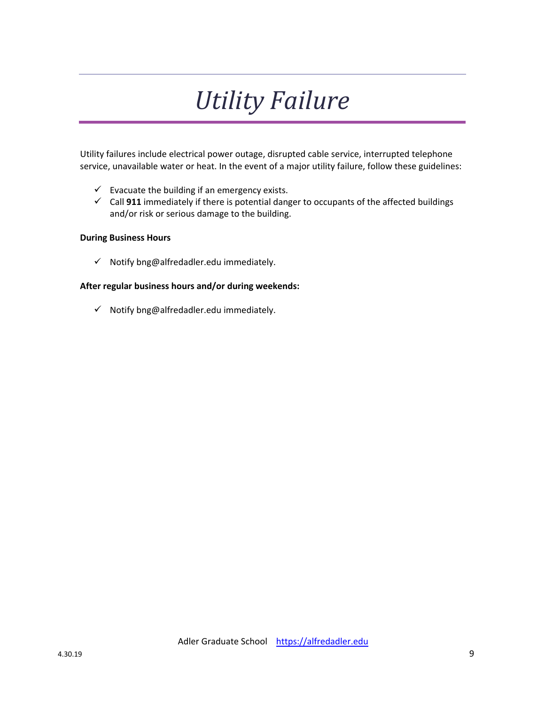# *Utility Failure*

Utility failures include electrical power outage, disrupted cable service, interrupted telephone service, unavailable water or heat. In the event of a major utility failure, follow these guidelines:

- $\checkmark$  Evacuate the building if an emergency exists.
- Call **911** immediately if there is potential danger to occupants of the affected buildings and/or risk or serious damage to the building.

#### **During Business Hours**

 $\checkmark$  Notify bng@alfredadler.edu immediately.

### **After regular business hours and/or during weekends:**

 $\checkmark$  Notify bng@alfredadler.edu immediately.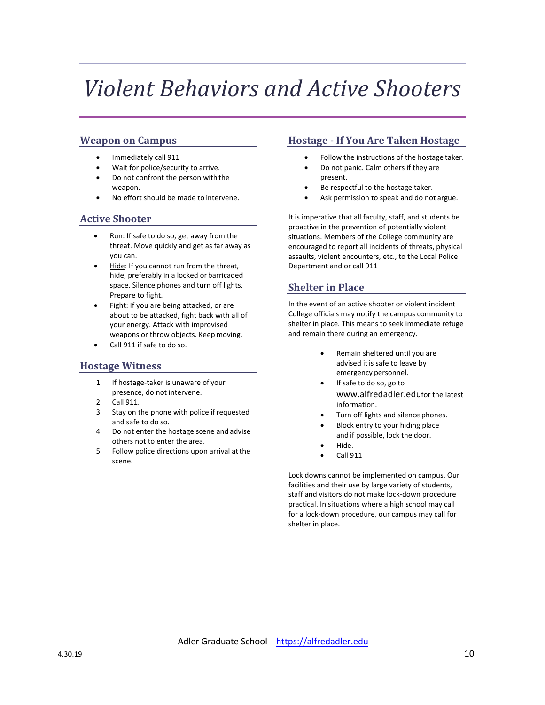# *Violent Behaviors and Active Shooters*

### **Weapon on Campus**

- Immediately call 911
- Wait for police/security to arrive.
- Do not confront the person with the weapon.
- No effort should be made to intervene.

### **Active Shooter**

- Run: If safe to do so, get away from the threat. Move quickly and get as far away as you can.
- Hide: If you cannot run from the threat, hide, preferably in a locked or barricaded space. Silence phones and turn off lights. Prepare to fight.
- Fight: If you are being attacked, or are about to be attacked, fight back with all of your energy. Attack with improvised weapons or throw objects. Keep moving.
- Call 911 if safe to do so.

### **Hostage Witness**

- 1. If hostage‐taker is unaware of your presence, do not intervene.
- 2. Call 911.
- 3. Stay on the phone with police ifrequested and safe to do so.
- 4. Do not enter the hostage scene and advise others not to enter the area.
- 5. Follow police directions upon arrival atthe scene.

# **Hostage ‐ If You Are Taken Hostage**

- Follow the instructions of the hostage taker.
- Do not panic. Calm others if they are present.
- Be respectful to the hostage taker.
- Ask permission to speak and do not argue.

It is imperative that all faculty, staff, and students be proactive in the prevention of potentially violent situations. Members of the College community are encouraged to report all incidents of threats, physical assaults, violent encounters, etc., to the Local Police Department and or call 911

### **Shelter in Place**

In the event of an active shooter or violent incident College officials may notify the campus community to shelter in place. This means to seek immediate refuge and remain there during an emergency.

- Remain sheltered until you are advised it is safe to leave by emergency personnel.
- If safe to do so, go to www.alfredadler.edufor the latest information.
- Turn off lights and silence phones.
- Block entry to your hiding place and if possible, lock the door.
- Hide.
- Call 911

Lock downs cannot be implemented on campus. Our facilities and their use by large variety of students, staff and visitors do not make lock‐down procedure practical. In situations where a high school may call for a lock‐down procedure, our campus may call for shelter in place.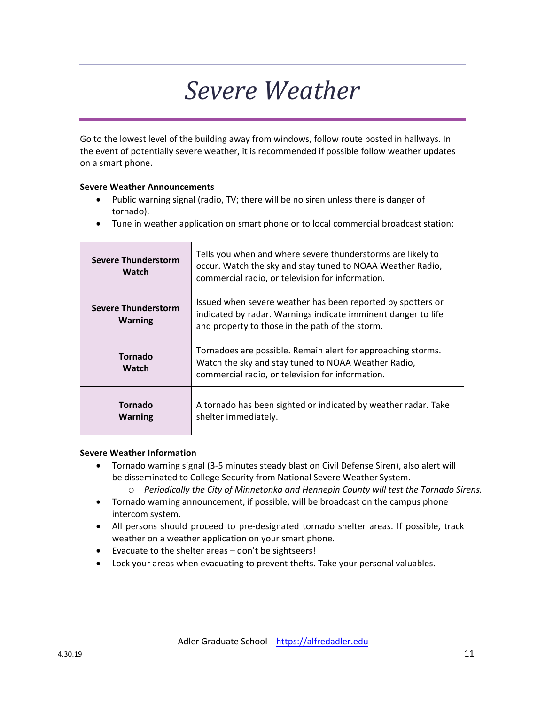# *Severe Weather*

Go to the lowest level of the building away from windows, follow route posted in hallways. In the event of potentially severe weather, it is recommended if possible follow weather updates on a smart phone.

### **Severe Weather Announcements**

- Public warning signal (radio, TV; there will be no siren unless there is danger of tornado).
- Tune in weather application on smart phone or to local commercial broadcast station:

| <b>Severe Thunderstorm</b><br>Watch          | Tells you when and where severe thunderstorms are likely to<br>occur. Watch the sky and stay tuned to NOAA Weather Radio,<br>commercial radio, or television for information.   |
|----------------------------------------------|---------------------------------------------------------------------------------------------------------------------------------------------------------------------------------|
| <b>Severe Thunderstorm</b><br><b>Warning</b> | Issued when severe weather has been reported by spotters or<br>indicated by radar. Warnings indicate imminent danger to life<br>and property to those in the path of the storm. |
| <b>Tornado</b><br>Watch                      | Tornadoes are possible. Remain alert for approaching storms.<br>Watch the sky and stay tuned to NOAA Weather Radio,<br>commercial radio, or television for information.         |
| <b>Tornado</b><br><b>Warning</b>             | A tornado has been sighted or indicated by weather radar. Take<br>shelter immediately.                                                                                          |

#### **Severe Weather Information**

- Tornado warning signal (3‐5 minutes steady blast on Civil Defense Siren), also alert will be disseminated to College Security from National Severe Weather System.
	- o *Periodically the City of Minnetonka and Hennepin County will test the Tornado Sirens.*
- Tornado warning announcement, if possible, will be broadcast on the campus phone intercom system.
- All persons should proceed to pre-designated tornado shelter areas. If possible, track weather on a weather application on your smart phone.
- Evacuate to the shelter areas don't be sightseers!
- Lock your areas when evacuating to prevent thefts. Take your personal valuables.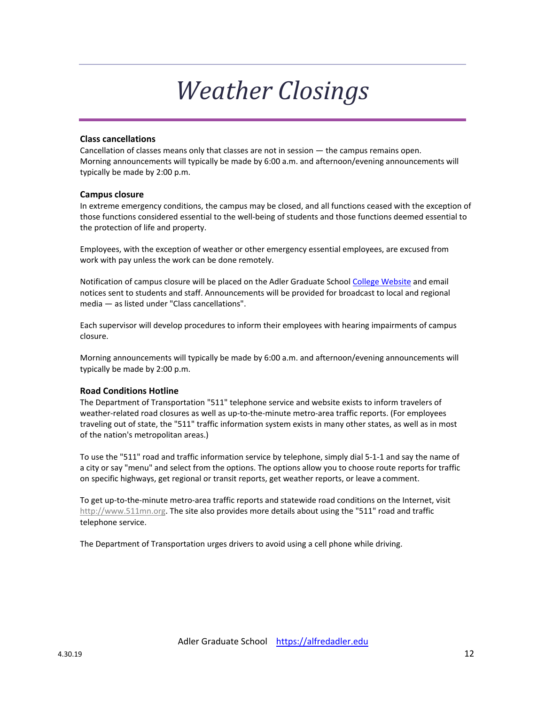# *Weather Closings*

#### **Class cancellations**

Cancellation of classes means only that classes are not in session — the campus remains open. Morning announcements will typically be made by 6:00 a.m. and afternoon/evening announcements will typically be made by 2:00 p.m.

#### **Campus closure**

In extreme emergency conditions, the campus may be closed, and all functions ceased with the exception of those functions considered essential to the well‐being of students and those functions deemed essential to the protection of life and property.

Employees, with the exception of weather or other emergency essential employees, are excused from work with pay unless the work can be done remotely.

Notification of campus closure will be placed on the Adler Graduate School College Website and email notices sent to students and staff. Announcements will be provided for broadcast to local and regional media — as listed under "Class cancellations".

Each supervisor will develop procedures to inform their employees with hearing impairments of campus closure.

Morning announcements will typically be made by 6:00 a.m. and afternoon/evening announcements will typically be made by 2:00 p.m.

#### **Road Conditions Hotline**

The Department of Transportation "511" telephone service and website exists to inform travelers of weather‐related road closures as well as up‐to‐the‐minute metro‐area traffic reports. (For employees traveling out of state, the "511" traffic information system exists in many other states, as well as in most of the nation's metropolitan areas.)

To use the "511" road and traffic information service by telephone, simply dial 5‐1‐1 and say the name of a city or say "menu" and select from the options. The options allow you to choose route reports for traffic on specific highways, get regional or transit reports, get weather reports, or leave a comment.

To get up‐to‐the‐minute metro‐area traffic reports and statewide road conditions on the Internet, visit http://www.511mn.org. The site also provides more details about using the "511" road and traffic telephone service.

The Department of Transportation urges drivers to avoid using a cell phone while driving.